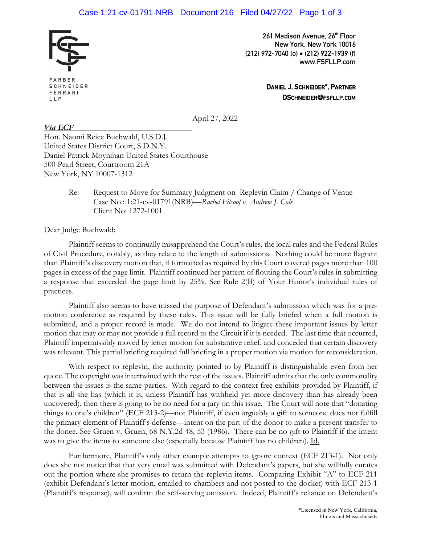

FARBER SCHNEIDER FERRARI LLP

**261 Madison Avenue, 26th Floor New York, New York 10016 (212) 972-7040 (o)** • **(212) 922-1939 (f) www.FSFLLP.com**

> **DANIEL J. SCHNEIDER\*, PARTNER DSCHNEIDER@FSFLLP.COM**

April 27, 2022

*Via ECF* Hon. Naomi Reice Buchwald, U.S.D.J. United States District Court, S.D.N.Y. Daniel Patrick Moynihan United States Courthouse 500 Pearl Street, Courtroom 21A New York, NY 10007-1312

> Re: Request to Move for Summary Judgment on Replevin Claim / Change of Venue Case No.: 1:21-cv-01791(NRB)—*Rachel Filsoof v. Andrew J. Cole*  Client No: 1272-1001

Dear Judge Buchwald:

Plaintiff seems to continually misapprehend the Court's rules, the local rules and the Federal Rules of Civil Procedure, notably, as they relate to the length of submissions. Nothing could be more flagrant than Plaintiff's discovery motion that, if formatted as required by this Court covered pages more than 100 pages in excess of the page limit. Plaintiff continued her pattern of flouting the Court's rules in submitting a response that exceeded the page limit by 25%. See Rule 2(B) of Your Honor's individual rules of practices.

Plaintiff also seems to have missed the purpose of Defendant's submission which was for a premotion conference as required by these rules. This issue will be fully briefed when a full motion is submitted, and a proper record is made. We do not intend to litigate these important issues by letter motion that may or may not provide a full record to the Circuit if it is needed. The last time that occurred, Plaintiff impermissibly moved by letter motion for substantive relief, and conceded that certain discovery was relevant. This partial briefing required full briefing in a proper motion via motion for reconsideration.

With respect to replevin, the authority pointed to by Plaintiff is distinguishable even from her quote. The copyright was intertwined with the rest of the issues. Plaintiff admits that the only commonality between the issues is the same parties. With regard to the context-free exhibits provided by Plaintiff, if that is all she has (which it is, unless Plaintiff has withheld yet more discovery than has already been uncovered), then there is going to be no need for a jury on this issue. The Court will note that "donating things to one's children" (ECF 213-2)—not Plaintiff, if even arguably a gift to someone does not fulfill the primary element of Plaintiff's defense—intent on the part of the donor to make a present transfer to the donee. See Gruen v. Gruen, 68 N.Y.2d 48, 53 (1986). There can be no gift to Plaintiff if the intent was to give the items to someone else (especially because Plaintiff has no children). Id.

Furthermore, Plaintiff's only other example attempts to ignore context (ECF 213-1). Not only does she not notice that that very email was submitted with Defendant's papers, but she willfully curates out the portion where she promises to return the replevin items. Comparing Exhibit "A" to ECF 211 (exhibit Defendant's letter motion, emailed to chambers and not posted to the docket) with ECF 213-1 (Plaintiff's response), will confirm the self-serving omission. Indeed, Plaintiff's reliance on Defendant's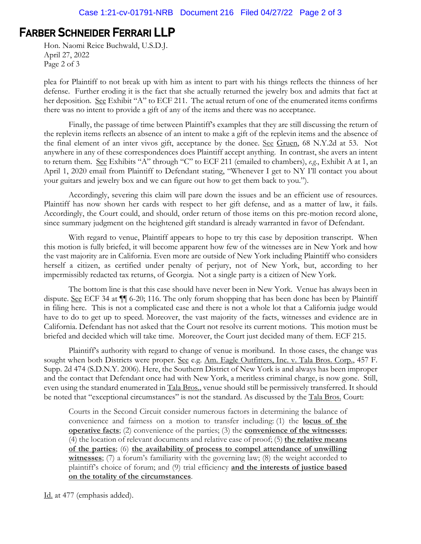## **FARBER SCHNEIDER FERRARI LLP**

Hon. Naomi Reice Buchwald, U.S.D.J. April 27, 2022 Page 2 of 3

plea for Plaintiff to not break up with him as intent to part with his things reflects the thinness of her defense. Further eroding it is the fact that she actually returned the jewelry box and admits that fact at her deposition. See Exhibit "A" to ECF 211. The actual return of one of the enumerated items confirms there was no intent to provide a gift of any of the items and there was no acceptance.

Finally, the passage of time between Plaintiff's examples that they are still discussing the return of the replevin items reflects an absence of an intent to make a gift of the replevin items and the absence of the final element of an inter vivos gift, acceptance by the donee. See Gruen, 68 N.Y.2d at 53. Not anywhere in any of these correspondences does Plaintiff accept anything. In contrast, she avers an intent to return them. See Exhibits "A" through "C" to ECF 211 (emailed to chambers), *e.g.*, Exhibit A at 1, an April 1, 2020 email from Plaintiff to Defendant stating, "Whenever I get to NY I'll contact you about your guitars and jewelry box and we can figure out how to get them back to you.").

Accordingly, severing this claim will pare down the issues and be an efficient use of resources. Plaintiff has now shown her cards with respect to her gift defense, and as a matter of law, it fails. Accordingly, the Court could, and should, order return of those items on this pre-motion record alone, since summary judgment on the heightened gift standard is already warranted in favor of Defendant.

With regard to venue, Plaintiff appears to hope to try this case by deposition transcript. When this motion is fully briefed, it will become apparent how few of the witnesses are in New York and how the vast majority are in California. Even more are outside of New York including Plaintiff who considers herself a citizen, as certified under penalty of perjury, not of New York, but, according to her impermissibly redacted tax returns, of Georgia. Not a single party is a citizen of New York.

The bottom line is that this case should have never been in New York. Venue has always been in dispute. See ECF 34 at  $\P$  6-20; 116. The only forum shopping that has been done has been by Plaintiff in filing here. This is not a complicated case and there is not a whole lot that a California judge would have to do to get up to speed. Moreover, the vast majority of the facts, witnesses and evidence are in California. Defendant has not asked that the Court not resolve its current motions. This motion must be briefed and decided which will take time. Moreover, the Court just decided many of them. ECF 215.

Plaintiff's authority with regard to change of venue is moribund. In those cases, the change was sought when both Districts were proper. See e.g. Am. Eagle Outfitters, Inc. v. Tala Bros. Corp., 457 F. Supp. 2d 474 (S.D.N.Y. 2006). Here, the Southern District of New York is and always has been improper and the contact that Defendant once had with New York, a meritless criminal charge, is now gone. Still, even using the standard enumerated in Tala Bros., venue should still be permissively transferred. It should be noted that "exceptional circumstances" is not the standard. As discussed by the Tala Bros. Court:

Courts in the Second Circuit consider numerous factors in determining the balance of convenience and fairness on a motion to transfer including: (1) the **locus of the operative facts**; (2) convenience of the parties; (3) the **convenience of the witnesses**; (4) the location of relevant documents and relative ease of proof; (5) **the relative means of the parties**; (6) **the availability of process to compel attendance of unwilling witnesses**; (7) a forum's familiarity with the governing law; (8) the weight accorded to plaintiff's choice of forum; and (9) trial efficiency **and the interests of justice based on the totality of the circumstances**.

Id. at 477 (emphasis added).